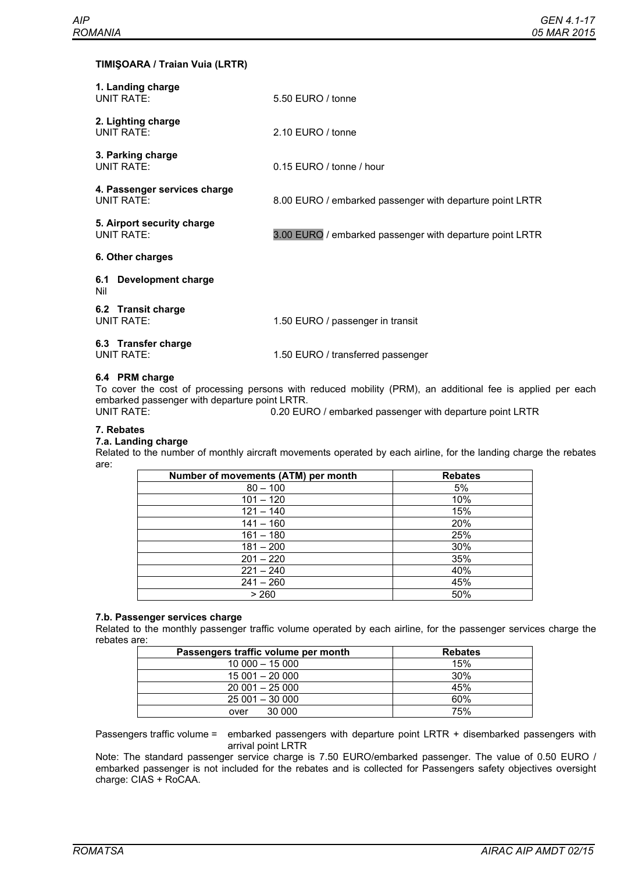## **TIMIŞOARA / Traian Vuia (LRTR)**

| 1. Landing charge<br>UNIT RATE:            | 5.50 EURO / tonne                                        |  |
|--------------------------------------------|----------------------------------------------------------|--|
| 2. Lighting charge<br>UNIT RATE:           | $2.10$ FURO / tonne                                      |  |
| 3. Parking charge<br>UNIT RATE:            | 0.15 EURO / tonne / hour                                 |  |
| 4. Passenger services charge<br>UNIT RATE: | 8.00 EURO / embarked passenger with departure point LRTR |  |
| 5. Airport security charge<br>UNIT RATE:   | 3.00 EURO / embarked passenger with departure point LRTR |  |
| 6. Other charges                           |                                                          |  |
| Development charge<br>6.1<br>Nil           |                                                          |  |
| 6.2 Transit charge<br>UNIT RATE:           | 1.50 EURO / passenger in transit                         |  |
| 6.3 Transfer charge<br>UNIT RATE:          | 1.50 EURO / transferred passenger                        |  |

#### **6.4 PRM charge**

To cover the cost of processing persons with reduced mobility (PRM), an additional fee is applied per each embarked passenger with departure point LRTR.

0.20 EURO / embarked passenger with departure point LRTR

## **7. Rebates**

#### **7.a. Landing charge**

Related to the number of monthly aircraft movements operated by each airline, for the landing charge the rebates are:

| Number of movements (ATM) per month | <b>Rebates</b> |
|-------------------------------------|----------------|
| $80 - 100$                          | 5%             |
| $101 - 120$                         | 10%            |
| $121 - 140$                         | 15%            |
| $141 - 160$                         | 20%            |
| $161 - 180$                         | 25%            |
| $181 - 200$                         | 30%            |
| $201 - 220$                         | 35%            |
| $221 - 240$                         | 40%            |
| $241 - 260$                         | 45%            |
| > 260                               | 50%            |

# **7.b. Passenger services charge**

Related to the monthly passenger traffic volume operated by each airline, for the passenger services charge the rebates are:

| Passengers traffic volume per month | <b>Rebates</b> |
|-------------------------------------|----------------|
| $10000 - 15000$                     | 15%            |
| $15001 - 20000$                     | 30%            |
| $20001 - 25000$                     | 45%            |
| $25001 - 30000$                     | 60%            |
| 30,000<br>over                      | 75%            |

Passengers traffic volume = embarked passengers with departure point LRTR + disembarked passengers with arrival point LRTR

Note: The standard passenger service charge is 7.50 EURO/embarked passenger. The value of 0.50 EURO / embarked passenger is not included for the rebates and is collected for Passengers safety objectives oversight charge: CIAS + RoCAA.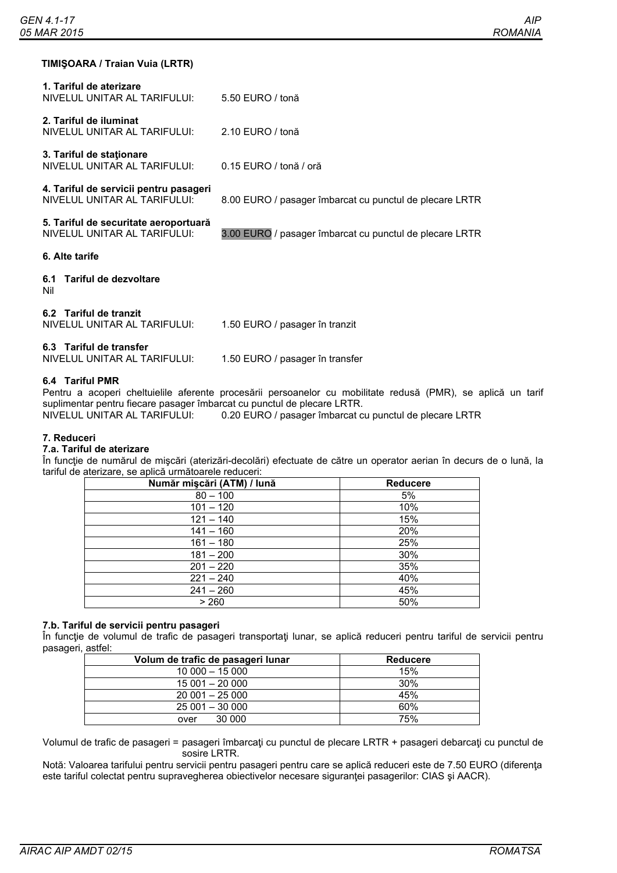# **TIMIŞOARA / Traian Vuia (LRTR)**

| 5.50 EURO / tonă                                        |
|---------------------------------------------------------|
| $2.10$ FURO / tonă                                      |
| 0.15 EURO / tonă / oră                                  |
| 8.00 EURO / pasager îmbarcat cu punctul de plecare LRTR |
| 3.00 EURO / pasager îmbarcat cu punctul de plecare LRTR |
|                                                         |
|                                                         |
| 1.50 EURO / pasager în tranzit                          |
| 1.50 EURO / pasager în transfer                         |
|                                                         |

## **6.4 Tariful PMR**

Pentru a acoperi cheltuielile aferente procesării persoanelor cu mobilitate redusă (PMR), se aplică un tarif suplimentar pentru fiecare pasager îmbarcat cu punctul de plecare LRTR.

NIVELUL UNITAR AL TARIFULUI: 0.20 EURO / pasager îmbarcat cu punctul de plecare LRTR

#### **7. Reduceri**

# **7.a. Tariful de aterizare**

În funcție de numărul de mișcări (aterizări-decolări) efectuate de către un operator aerian în decurs de o lună, la tariful de aterizare, se aplică următoarele reduceri:

| Număr mișcări (ATM) / lună | Reducere |
|----------------------------|----------|
| $80 - 100$                 | 5%       |
| $101 - 120$                | 10%      |
| $121 - 140$                | 15%      |
| $141 - 160$                | 20%      |
| $161 - 180$                | 25%      |
| $181 - 200$                | 30%      |
| $201 - 220$                | 35%      |
| $221 - 240$                | 40%      |
| $241 - 260$                | 45%      |
| > 260                      | 50%      |

## **7.b. Tariful de servicii pentru pasageri**

În funcție de volumul de trafic de pasageri transportați lunar, se aplică reduceri pentru tariful de servicii pentru pasageri, astfel:

| Volum de trafic de pasageri lunar | <b>Reducere</b> |
|-----------------------------------|-----------------|
| $10000 - 15000$                   | 15%             |
| $15001 - 20000$                   | 30%             |
| $20001 - 25000$                   | 45%             |
| $25001 - 30000$                   | 60%             |
| 30 000<br>over                    | 75%             |

Volumul de trafic de pasageri = pasageri îmbarcaţi cu punctul de plecare LRTR + pasageri debarcaţi cu punctul de sosire LRTR.

Notă: Valoarea tarifului pentru servicii pentru pasageri pentru care se aplică reduceri este de 7.50 EURO (diferența este tariful colectat pentru supravegherea obiectivelor necesare siguranţei pasagerilor: CIAS şi AACR).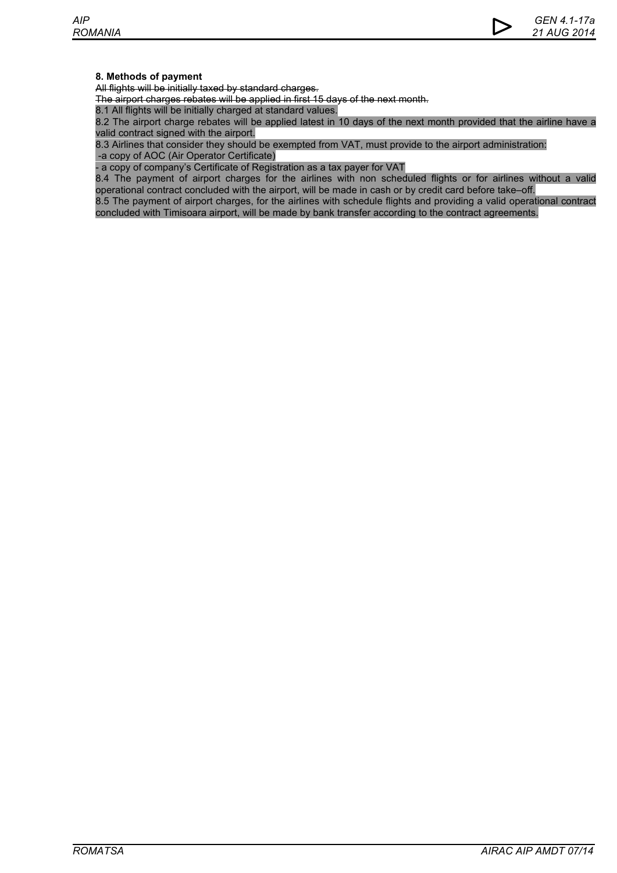# **8. Methods of payment**

All flights will be initially taxed by standard charges.

The airport charges rebates will be applied in first 15 days of the next month.

8.1 All flights will be initially charged at standard values.

8.2 The airport charge rebates will be applied latest in 10 days of the next month provided that the airline have a valid contract signed with the airport.

8.3 Airlines that consider they should be exempted from VAT, must provide to the airport administration: -a copy of AOC (Air Operator Certificate)

- a copy of company's Certificate of Registration as a tax payer for VAT

8.4 The payment of airport charges for the airlines with non scheduled flights or for airlines without a valid operational contract concluded with the airport, will be made in cash or by credit card before take–off.

8.5 The payment of airport charges, for the airlines with schedule flights and providing a valid operational contract concluded with Timisoara airport, will be made by bank transfer according to the contract agreements.